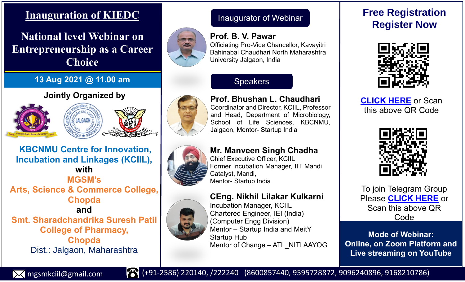# **Inauguration of KIEDC**

# **National level Webinar on Entrepreneurship as a Career Choice**

## **13 Aug 2021 @ 11.00 am**

## **Jointly Organized by**





**KBCNMU Centre for Innovation, Incubation and Linkages (KCIIL), with MGSM's Arts, Science & Commerce College, Chopda and Smt. Sharadchandrika Suresh Patil College of Pharmacy, Chopda** Dist.: Jalgaon, Maharashtra

# Inaugurator of Webinar

Officiating Pro-Vice Chancellor, Kavayitri Bahinabai Chaudhari North Maharashtra

**Speakers** 

**Prof. B. V. Pawar**

University Jalgaon, India



# **Prof. Bhushan L. Chaudhari** Coordinator and Director, KCIIL, Professor and Head, Department of Microbiology, School of Life Sciences, KBCNMU, Jalgaon, Mentor- Startup India



#### **Mr. Manveen Singh Chadha** Chief Executive Officer, KCIIL

Former Incubation Manager, IIT Mandi Catalyst, Mandi, Mentor- Startup India

## **CEng. Nikhil Lilakar Kulkarni**

Incubation Manager, KCIIL Chartered Engineer, IEI (India) (Computer Engg Division) Mentor – Startup India and MeitY Startup Hub Mentor of Change – ATL\_NITI AAYOG

# **Free Registration Register Now**



**[CLICK HERE](https://forms.gle/pm4UMSeSvBbPBQEa9)** or Scan [this above QR Code](https://forms.gle/psrF1Nn26KdSuKPk6)



[To join Telegram](https://t.me/joinchat/ED5wiMe2lVAyYjNl) Group Please **[CLICK HERE](https://t.me/joinchat/ED5wiMe2lVAyYjNl)** or Scan this above QR Code

**Mode of Webinar: Online, on Zoom Platform and Live streaming on YouTube**



mgsmkciil@gmail.com (+91-2586) 220140, /222240 (8600857440, 9595728872, 9096240896, 9168210786)